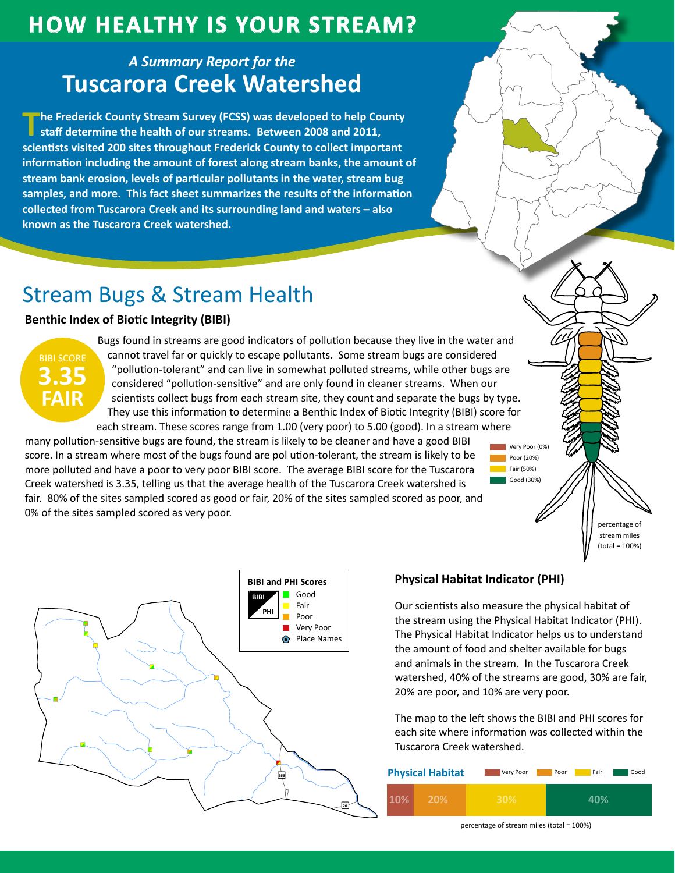## **HOW HEALTHY IS YOUR STREAM?**

### **A Summary Report for the Tuscarora Creek Watershed**

The Frederick County Stream Survey (FCSS) was developed to help County staff determine the health of our streams. Between 2008 and 2011, scientists visited 200 sites throughout Frederick County to collect important information including the amount of forest along stream banks, the amount of stream bank erosion, levels of particular pollutants in the water, stream bug samples, and more. This fact sheet summarizes the results of the information collected from Tuscarora Creek and its surrounding land and waters - also known as the Tuscarora Creek watershed.

# **Stream Bugs & Stream Health**

### **Benthic Index of Biotic Integrity (BIBI)**



Bugs found in streams are good indicators of pollution because they live in the water and cannot travel far or quickly to escape pollutants. Some stream bugs are considered "pollution-tolerant" and can live in somewhat polluted streams, while other bugs are considered "pollution-sensitive" and are only found in cleaner streams. When our scientists collect bugs from each stream site, they count and separate the bugs by type. They use this information to determine a Benthic Index of Biotic Integrity (BIBI) score for each stream. These scores range from 1.00 (very poor) to 5.00 (good). In a stream where

many pollution-sensitive bugs are found, the stream is likely to be cleaner and have a good BIBI score. In a stream where most of the bugs found are pollution-tolerant, the stream is likely to be more polluted and have a poor to very poor BIBI score. The average BIBI score for the Tuscarora Creek watershed is 3.35, telling us that the average health of the Tuscarora Creek watershed is fair. 80% of the sites sampled scored as good or fair, 20% of the sites sampled scored as poor, and 0% of the sites sampled scored as very poor.





### **Physical Habitat Indicator (PHI)**

Our scientists also measure the physical habitat of the stream using the Physical Habitat Indicator (PHI). The Physical Habitat Indicator helps us to understand the amount of food and shelter available for bugs and animals in the stream. In the Tuscarora Creek watershed, 40% of the streams are good, 30% are fair, 20% are poor, and 10% are very poor.

Very Poor (0%)

Poor (20%)

Fair (50%) Good (30%)

The map to the left shows the BIBI and PHI scores for each site where information was collected within the Tuscarora Creek watershed.



percentage of stream miles (total = 100%)